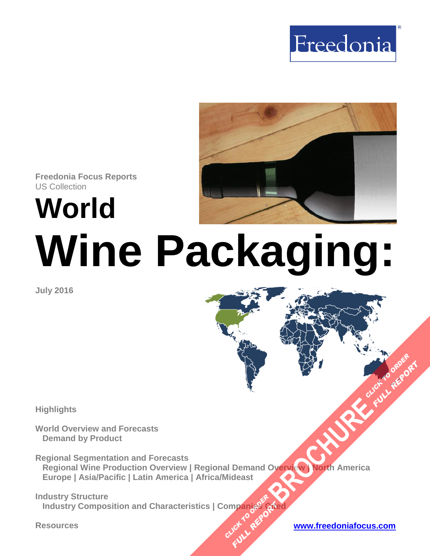



**Freedonia Focus Reports** US Collection

**World**

# **Wine Packaging:**

**July 2016**

**Highlights**

**World Overview and Forecasts Demand by Product**

**Regional Segmentation and Forecasts Regional Wine Production Overview | Regional Demand Overview | North America Europe | Asia/Pacific | Latin America | Africa/Mideast [BROCHURE](http://www.freedoniagroup.com/FocusDetails.aspx?ReferrerId=FM-FocusBro&ReportID=FW30059) AVENUE DE CLICK TO ORDER**<br>DISCREMENT DE CLICK TO ORDER

**Industry Structure Industry Composition and Characteristics | Companies Cited OMPangages Planding Arts** 

**FULL REPORT**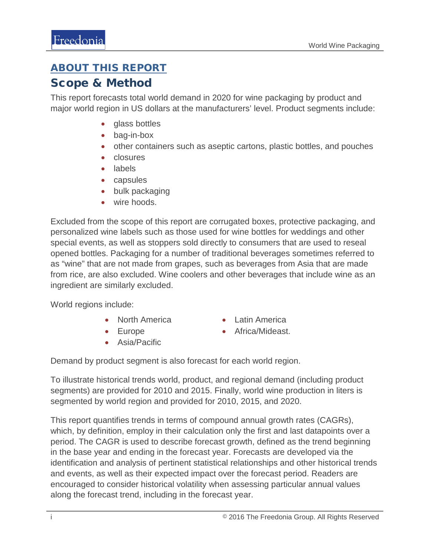### <span id="page-1-0"></span>ABOUT THIS REPORT

#### Scope & Method

This report forecasts total world demand in 2020 for wine packaging by product and major world region in US dollars at the manufacturers' level. Product segments include:

- glass bottles
- bag-in-box
- other containers such as aseptic cartons, plastic bottles, and pouches
- closures
- labels
- capsules
- bulk packaging
- wire hoods.

Excluded from the scope of this report are corrugated boxes, protective packaging, and personalized wine labels such as those used for wine bottles for weddings and other special events, as well as stoppers sold directly to consumers that are used to reseal opened bottles. Packaging for a number of traditional beverages sometimes referred to as "wine" that are not made from grapes, such as beverages from Asia that are made from rice, are also excluded. Wine coolers and other beverages that include wine as an ingredient are similarly excluded.

World regions include:

- North America
- Europe
- Asia/Pacific
- Latin America
- Africa/Mideast.

Demand by product segment is also forecast for each world region.

To illustrate historical trends world, product, and regional demand (including product segments) are provided for 2010 and 2015. Finally, world wine production in liters is segmented by world region and provided for 2010, 2015, and 2020.

This report quantifies trends in terms of compound annual growth rates (CAGRs), which, by definition, employ in their calculation only the first and last datapoints over a period. The CAGR is used to describe forecast growth, defined as the trend beginning in the base year and ending in the forecast year. Forecasts are developed via the identification and analysis of pertinent statistical relationships and other historical trends and events, as well as their expected impact over the forecast period. Readers are encouraged to consider historical volatility when assessing particular annual values along the forecast trend, including in the forecast year.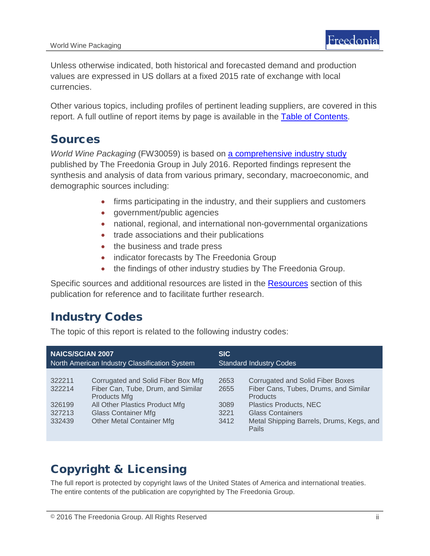Unless otherwise indicated, both historical and forecasted demand and production values are expressed in US dollars at a fixed 2015 rate of exchange with local currencies.

Other various topics, including profiles of pertinent leading suppliers, are covered in this report. A full outline of report items by page is available in the [Table of Contents.](#page-3-0)

### Sources

*World Wine Packaging* (FW30059) is based on **a comprehensive industry study** published by The Freedonia Group in July 2016. Reported findings represent the synthesis and analysis of data from various primary, secondary, macroeconomic, and demographic sources including:

- firms participating in the industry, and their suppliers and customers
- government/public agencies
- national, regional, and international non-governmental organizations
- trade associations and their publications
- the business and trade press
- indicator forecasts by The Freedonia Group
- the findings of other industry studies by The Freedonia Group.

Specific sources and additional resources are listed in the [Resources](#page-4-0) section of this publication for reference and to facilitate further research.

# Industry Codes

The topic of this report is related to the following industry codes:

| <b>NAICS/SCIAN 2007</b>                        |                                                                                                                                                                                                     | <b>SIC</b>                           |                                                                                                                                                                                                                      |
|------------------------------------------------|-----------------------------------------------------------------------------------------------------------------------------------------------------------------------------------------------------|--------------------------------------|----------------------------------------------------------------------------------------------------------------------------------------------------------------------------------------------------------------------|
| North American Industry Classification System  |                                                                                                                                                                                                     | <b>Standard Industry Codes</b>       |                                                                                                                                                                                                                      |
| 322211<br>322214<br>326199<br>327213<br>332439 | Corrugated and Solid Fiber Box Mfg<br>Fiber Can, Tube, Drum, and Similar<br><b>Products Mfg</b><br>All Other Plastics Product Mfg<br><b>Glass Container Mfg</b><br><b>Other Metal Container Mfg</b> | 2653<br>2655<br>3089<br>3221<br>3412 | <b>Corrugated and Solid Fiber Boxes</b><br>Fiber Cans, Tubes, Drums, and Similar<br><b>Products</b><br><b>Plastics Products, NEC</b><br><b>Glass Containers</b><br>Metal Shipping Barrels, Drums, Kegs, and<br>Pails |

# Copyright & Licensing

The full report is protected by copyright laws of the United States of America and international treaties. The entire contents of the publication are copyrighted by The Freedonia Group.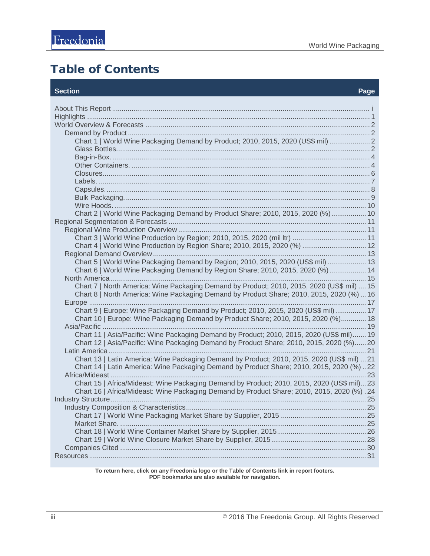# <span id="page-3-0"></span>Table of Contents

#### **Section Page**

| Chart 1   World Wine Packaging Demand by Product; 2010, 2015, 2020 (US\$ mil)  2                                                                                                      |  |
|---------------------------------------------------------------------------------------------------------------------------------------------------------------------------------------|--|
|                                                                                                                                                                                       |  |
|                                                                                                                                                                                       |  |
| Chart 2   World Wine Packaging Demand by Product Share; 2010, 2015, 2020 (%) 10                                                                                                       |  |
|                                                                                                                                                                                       |  |
|                                                                                                                                                                                       |  |
| Chart 4   World Wine Production by Region Share; 2010, 2015, 2020 (%)  12                                                                                                             |  |
|                                                                                                                                                                                       |  |
| Chart 5   World Wine Packaging Demand by Region; 2010, 2015, 2020 (US\$ mil)  13                                                                                                      |  |
| Chart 6   World Wine Packaging Demand by Region Share; 2010, 2015, 2020 (%)  14                                                                                                       |  |
|                                                                                                                                                                                       |  |
| Chart 7   North America: Wine Packaging Demand by Product; 2010, 2015, 2020 (US\$ mil)  15                                                                                            |  |
| Chart 8   North America: Wine Packaging Demand by Product Share; 2010, 2015, 2020 (%)  16                                                                                             |  |
|                                                                                                                                                                                       |  |
| Chart 9   Europe: Wine Packaging Demand by Product; 2010, 2015, 2020 (US\$ mil) 17                                                                                                    |  |
| Chart 10   Europe: Wine Packaging Demand by Product Share; 2010, 2015, 2020 (%) 18                                                                                                    |  |
|                                                                                                                                                                                       |  |
| Chart 11   Asia/Pacific: Wine Packaging Demand by Product; 2010, 2015, 2020 (US\$ mil) 19<br>Chart 12   Asia/Pacific: Wine Packaging Demand by Product Share; 2010, 2015, 2020 (%) 20 |  |
|                                                                                                                                                                                       |  |
| Chart 13   Latin America: Wine Packaging Demand by Product; 2010, 2015, 2020 (US\$ mil)  21                                                                                           |  |
| Chart 14   Latin America: Wine Packaging Demand by Product Share; 2010, 2015, 2020 (%)22                                                                                              |  |
|                                                                                                                                                                                       |  |
| Chart 15   Africa/Mideast: Wine Packaging Demand by Product; 2010, 2015, 2020 (US\$ mil)23                                                                                            |  |
| Chart 16   Africa/Mideast: Wine Packaging Demand by Product Share; 2010, 2015, 2020 (%) .24                                                                                           |  |
|                                                                                                                                                                                       |  |
|                                                                                                                                                                                       |  |
|                                                                                                                                                                                       |  |
|                                                                                                                                                                                       |  |
|                                                                                                                                                                                       |  |
|                                                                                                                                                                                       |  |
|                                                                                                                                                                                       |  |
|                                                                                                                                                                                       |  |

**To return here, click on any Freedonia logo or the Table of Contents link in report footers. PDF bookmarks are also available for navigation.**